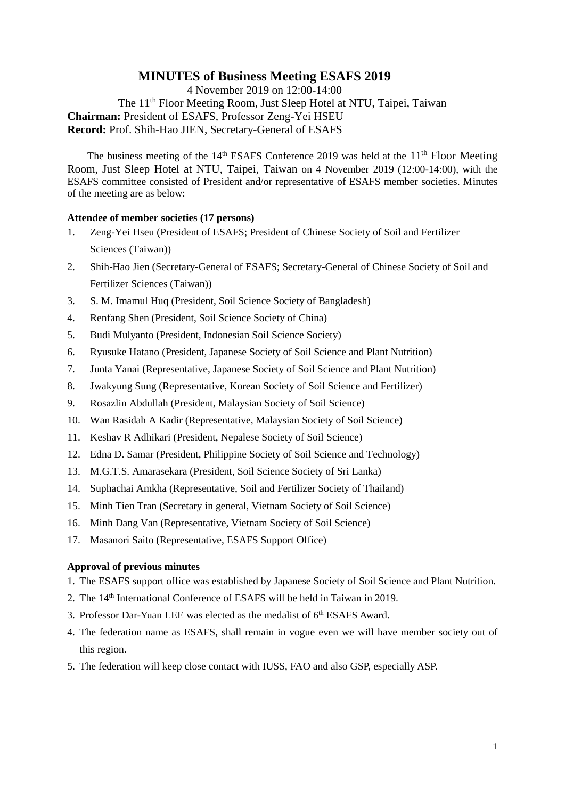# **MINUTES of Business Meeting ESAFS 2019**

4 November 2019 on 12:00-14:00 The 11<sup>th</sup> Floor Meeting Room, Just Sleep Hotel at NTU, Taipei, Taiwan **Chairman:** President of ESAFS, Professor Zeng-Yei HSEU **Record:** Prof. Shih-Hao JIEN, Secretary-General of ESAFS

The business meeting of the  $14<sup>th</sup>$  ESAFS Conference 2019 was held at the  $11<sup>th</sup>$  Floor Meeting Room, Just Sleep Hotel at NTU, Taipei, Taiwan on 4 November 2019 (12:00-14:00), with the ESAFS committee consisted of President and/or representative of ESAFS member societies. Minutes of the meeting are as below:

## **Attendee of member societies (17 persons)**

- 1. Zeng-Yei Hseu (President of ESAFS; President of Chinese Society of Soil and Fertilizer Sciences (Taiwan))
- 2. Shih-Hao Jien (Secretary-General of ESAFS; Secretary-General of Chinese Society of Soil and Fertilizer Sciences (Taiwan))
- 3. S. M. Imamul Huq (President, Soil Science Society of Bangladesh)
- 4. Renfang Shen (President, Soil Science Society of China)
- 5. Budi Mulyanto (President, Indonesian Soil Science Society)
- 6. Ryusuke Hatano (President, Japanese Society of Soil Science and Plant Nutrition)
- 7. Junta Yanai (Representative, Japanese Society of Soil Science and Plant Nutrition)
- 8. Jwakyung Sung (Representative, Korean Society of Soil Science and Fertilizer)
- 9. Rosazlin Abdullah (President, Malaysian Society of Soil Science)
- 10. Wan Rasidah A Kadir (Representative, Malaysian Society of Soil Science)
- 11. Keshav R Adhikari (President, Nepalese Society of Soil Science)
- 12. Edna D. Samar (President, Philippine Society of Soil Science and Technology)
- 13. M.G.T.S. Amarasekara (President, Soil Science Society of Sri Lanka)
- 14. Suphachai Amkha (Representative, Soil and Fertilizer Society of Thailand)
- 15. Minh Tien Tran (Secretary in general, Vietnam Society of Soil Science)
- 16. Minh Dang Van (Representative, Vietnam Society of Soil Science)
- 17. Masanori Saito (Representative, ESAFS Support Office)

### **Approval of previous minutes**

- 1. The ESAFS support office was established by Japanese Society of Soil Science and Plant Nutrition.
- 2. The 14th International Conference of ESAFS will be held in Taiwan in 2019.
- 3. Professor Dar-Yuan LEE was elected as the medalist of  $6<sup>th</sup> ESAFS$  Award.
- 4. The federation name as ESAFS, shall remain in vogue even we will have member society out of this region.
- 5. The federation will keep close contact with IUSS, FAO and also GSP, especially ASP.